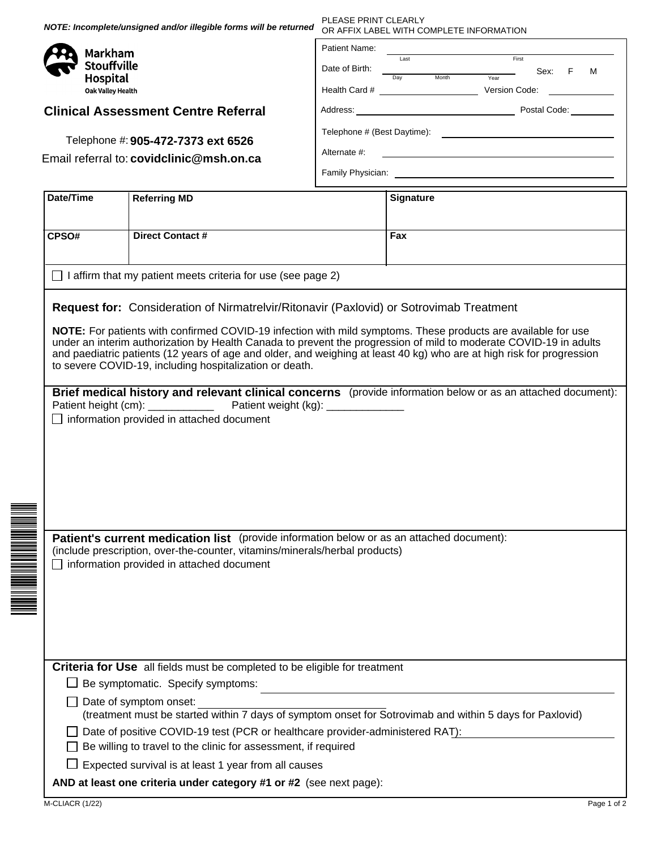PLEASE PRINT CLEARLY **NOTE: Incomplete/unsigned and/or illegible forms will be returned** OR AFFIX LABEL WITH COMPLETE INFORMATION Patient Name: Markham Last **First Stouffville** Date of Birth: Sex: F M Day Month Year **Hospital** Health Card # Version Code: **Oak Valley Health** Address: Postal Code: **Clinical Assessment Centre Referral** Telephone # (Best Daytime): Telephone #: **905-472-7373 ext 6526** Alternate #: Email referral to: covidclinic@msh.on.ca Family Physician: **Date/Time** Referring MD **Signature** Referring MD **CPSO# Direct Contact # Fax**  $\Box$  I affirm that my patient meets criteria for use (see page 2) **Request for:** Consideration of Nirmatrelvir/Ritonavir (Paxlovid) or Sotrovimab Treatment **NOTE:** For patients with confirmed COVID-19 infection with mild symptoms. These products are available for use under an interim authorization by Health Canada to prevent the progression of mild to moderate COVID-19 in adults and paediatric patients (12 years of age and older, and weighing at least 40 kg) who are at high risk for progression to severe COVID-19, including hospitalization or death. **Brief medical history and relevant clinical concerns** (provide information below or as an attached document): Patient height (cm): \_\_\_\_\_\_\_\_\_\_\_\_\_\_\_\_\_\_\_ Patient weight (kg): \_\_\_\_  $\Box$  information provided in attached document Patient's current medication list (provide information below or as an attached document): (include prescription, over-the-counter, vitamins/minerals/herbal products)  $\Box$  information provided in attached document **Criteria for Use** all fields must be completed to be eligible for treatment  $\Box$  Be symptomatic. Specify symptoms:  $\Box$  Date of symptom onset: (treatment must be started within 7 days of symptom onset for Sotrovimab and within 5 days for Paxlovid)  $\Box$  Date of positive COVID-19 test (PCR or healthcare provider-administered RAT):  $\Box$  Be willing to travel to the clinic for assessment, if required  $\Box$  Expected survival is at least 1 year from all causes **AND at least one criteria under category #1 or #2** (see next page): M-CLIACR (1/22) Page 1 of 2